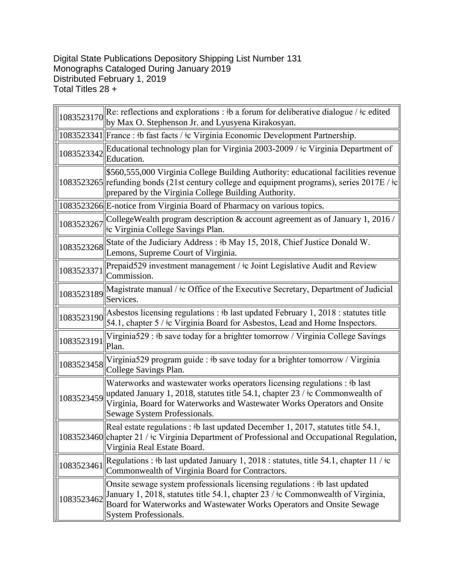## Digital State Publications Depository Shipping List Number 131 Monographs Cataloged During January 2019 Distributed February 1, 2019 Total Titles 28 +

| 1083523170 | Re: reflections and explorations : #b a forum for deliberative dialogue / $\pm c$ edited<br>by Max O. Stephenson Jr. and Lyusyena Kirakosyan.                                                                                                                                          |
|------------|----------------------------------------------------------------------------------------------------------------------------------------------------------------------------------------------------------------------------------------------------------------------------------------|
|            | 1083523341  France : #b fast facts / #c Virginia Economic Development Partnership.                                                                                                                                                                                                     |
| 1083523342 | Educational technology plan for Virginia 2003-2009 / ‡c Virginia Department of<br>Education.                                                                                                                                                                                           |
|            | \$560,555,000 Virginia College Building Authority: educational facilities revenue<br>1083523265 refunding bonds (21st century college and equipment programs), series 2017E / $\pm c$<br>prepared by the Virginia College Building Authority.                                          |
|            | 1083523266 E-notice from Virginia Board of Pharmacy on various topics.                                                                                                                                                                                                                 |
| 1083523267 | College Wealth program description $\&$ account agreement as of January 1, 2016 /<br>tc Virginia College Savings Plan.                                                                                                                                                                 |
| 1083523268 | State of the Judiciary Address : #b May 15, 2018, Chief Justice Donald W.<br>Lemons, Supreme Court of Virginia.                                                                                                                                                                        |
| 1083523371 | Prepaid529 investment management / ‡c Joint Legislative Audit and Review<br>Commission.                                                                                                                                                                                                |
| 1083523189 | Magistrate manual / ‡c Office of the Executive Secretary, Department of Judicial<br>Services.                                                                                                                                                                                          |
| 1083523190 | Asbestos licensing regulations : #b last updated February 1, 2018 : statutes title<br>54.1, chapter 5 / $\pm$ Virginia Board for Asbestos, Lead and Home Inspectors.                                                                                                                   |
| 1083523191 | Virginia529 : #b save today for a brighter tomorrow / Virginia College Savings<br>Plan.                                                                                                                                                                                                |
| 1083523458 | Virginia529 program guide : #b save today for a brighter tomorrow / Virginia<br>College Savings Plan.                                                                                                                                                                                  |
| 1083523459 | Waterworks and wastewater works operators licensing regulations : #b last<br>updated January 1, 2018, statutes title 54.1, chapter $23 / \text{\textless}$ Commonwealth of<br>Virginia, Board for Waterworks and Wastewater Works Operators and Onsite<br>Sewage System Professionals. |
|            | Real estate regulations : #b last updated December 1, 2017, statutes title 54.1,<br>1083523460 chapter 21 / ‡c Virginia Department of Professional and Occupational Regulation,<br>Virginia Real Estate Board.                                                                         |
| 1083523461 | Regulations : #b last updated January 1, 2018 : statutes, title 54.1, chapter 11 / $\pm c$<br>Commonwealth of Virginia Board for Contractors.                                                                                                                                          |
| 1083523462 | Onsite sewage system professionals licensing regulations : #b last updated<br>January 1, 2018, statutes title 54.1, chapter 23 / ‡c Commonwealth of Virginia,<br>Board for Waterworks and Wastewater Works Operators and Onsite Sewage<br>System Professionals.                        |